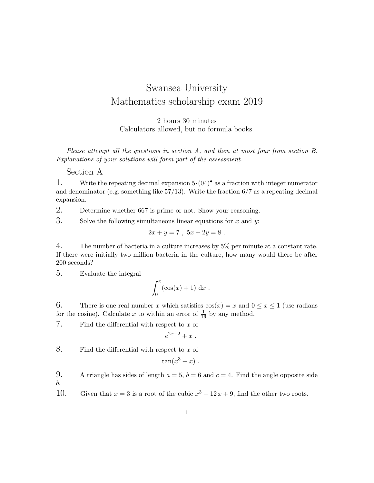## Swansea University Mathematics scholarship exam 2019

2 hours 30 minutes Calculators allowed, but no formula books.

Please attempt all the questions in section A, and then at most four from section B. Explanations of your solutions will form part of the assessment.

## Section A

1. Write the repeating decimal expansion  $5 \cdot (04)^{\bullet}$  as a fraction with integer numerator and denominator (e.g. something like  $57/13$ ). Write the fraction  $6/7$  as a repeating decimal expansion.

2. Determine whether 667 is prime or not. Show your reasoning.

3. Solve the following simultaneous linear equations for  $x$  and  $y$ .

$$
2x + y = 7 , \ 5x + 2y = 8 .
$$

4. The number of bacteria in a culture increases by 5% per minute at a constant rate. If there were initially two million bacteria in the culture, how many would there be after 200 seconds?

5. Evaluate the integral

$$
\int_0^\pi (\cos(x) + 1) \, \mathrm{d}x \; .
$$

6. There is one real number x which satisfies  $cos(x) = x$  and  $0 \le x \le 1$  (use radians for the cosine). Calculate x to within an error of  $\frac{1}{16}$  by any method.

7. Find the differential with respect to  $x$  of

$$
e^{2x-2}+x.
$$

8. Find the differential with respect to  $x$  of

$$
\tan(x^3+x).
$$

9. A triangle has sides of length  $a = 5$ ,  $b = 6$  and  $c = 4$ . Find the angle opposite side b.

10. Given that  $x = 3$  is a root of the cubic  $x^3 - 12x + 9$ , find the other two roots.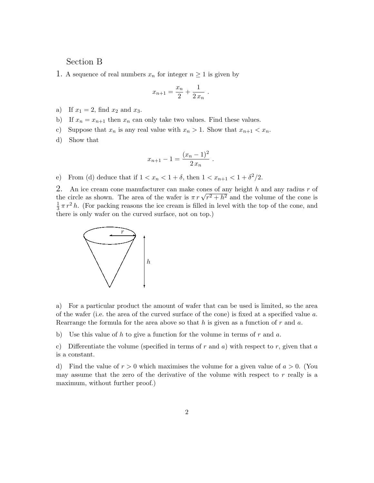## Section B

1. A sequence of real numbers  $x_n$  for integer  $n \geq 1$  is given by

$$
x_{n+1} = \frac{x_n}{2} + \frac{1}{2 x_n} \; .
$$

- a) If  $x_1 = 2$ , find  $x_2$  and  $x_3$ .
- b) If  $x_n = x_{n+1}$  then  $x_n$  can only take two values. Find these values.
- c) Suppose that  $x_n$  is any real value with  $x_n > 1$ . Show that  $x_{n+1} < x_n$ .

d) Show that

$$
x_{n+1} - 1 = \frac{(x_n - 1)^2}{2 x_n} .
$$

e) From (d) deduce that if  $1 < x_n < 1 + \delta$ , then  $1 < x_{n+1} < 1 + \delta^2/2$ .

2. An ice cream cone manufacturer can make cones of any height h and any radius r of 2. An ice cream cone manufacturer can make cones of any neight *n* and any radius *r* or the circle as shown. The area of the wafer is  $\pi r \sqrt{r^2 + h^2}$  and the volume of the cone is 1  $\frac{1}{3} \pi r^2 h$ . (For packing reasons the ice cream is filled in level with the top of the cone, and there is only wafer on the curved surface, not on top.)



a) For a particular product the amount of wafer that can be used is limited, so the area of the wafer (i.e. the area of the curved surface of the cone) is fixed at a specified value a. Rearrange the formula for the area above so that  $h$  is given as a function of  $r$  and  $a$ .

b) Use this value of h to give a function for the volume in terms of r and a.

c) Differentiate the volume (specified in terms of r and a) with respect to r, given that a is a constant.

d) Find the value of  $r > 0$  which maximises the volume for a given value of  $a > 0$ . (You may assume that the zero of the derivative of the volume with respect to  $r$  really is a maximum, without further proof.)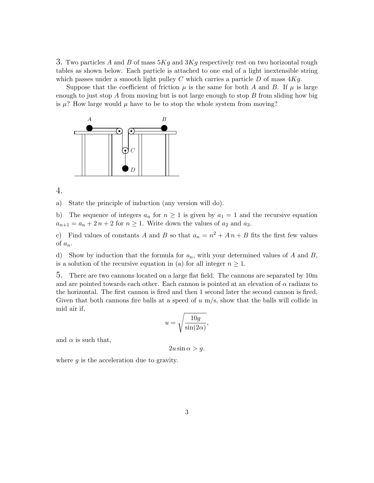3. Two particles A and B of mass  $5Kg$  and  $3Kg$  respectively rest on two horizontal rough tables as shown below. Each particle is attached to one end of a light inextensible string which passes under a smooth light pulley C which carries a particle D of mass  $4Kg$ .  $\sigma$  particles A and D of mass  $\partial \Lambda y$  and  $\partial \Lambda y$  resp

Suppose that the coefficient of friction  $\mu$  is the same for both A and B. If  $\mu$  is large enough to just stop A from moving but is not large enough to stop B from sliding how big is  $\mu$ ? How large would  $\mu$  have to be to stop the whole system from moving?



4.

pointed at an electron of  $\alpha$  radians to the horizontal radial. a) State the principle of induction (any version will do).

b) The sequence of integers  $a_n$  for  $n \geq 1$  is given by  $a_1 = 1$  and the recursive equation  $-a_n + 2n + 2$  for  $a_{n+1} = a_n + 2n + 2$  for  $n \ge 1$ . Write down the values of  $a_2$  and  $a_3$ .

 $\overline{A}$  and  $\overline{B}$  so c) Find values of constants A and B so that  $a_n = n^2 + An + B$  fits the first few values of  $a_n$ .

d) Show by induction that the formula for  $a_n$ , with your determined values of A and B, is a solution of the recursive equation in (a) for all integer  $n \geq 1$ .

1 5. There are two cannons located on a large flat field. The cannons are separated by 10m and are pointed towards each other. Each cannon is pointed at an elevation of  $\alpha$  radians to the horizontal. The first cannon is fired and then 1 second later the second cannon is fired. Given that both cannons fire balls at a speed of  $u$  m/s, show that the balls will collide in mid air if,

$$
u = \sqrt{\frac{10g}{\sin(2\alpha)}},
$$

and  $\alpha$  is such that,

 $2u \sin \alpha > g$ .

where  $g$  is the acceleration due to gravity.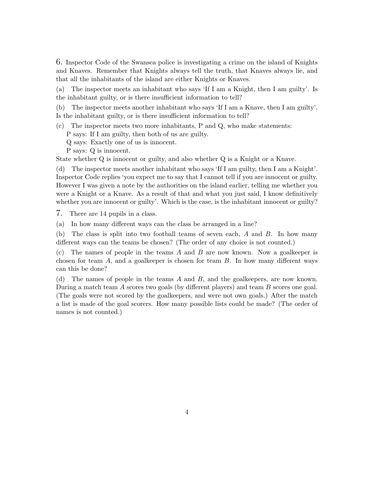6. Inspector Code of the Swansea police is investigating a crime on the island of Knights and Knaves. Remember that Knights always tell the truth, that Knaves always lie, and that all the inhabitants of the island are either Knights or Knaves.

(a) The inspector meets an inhabitant who says 'If I am a Knight, then I am guilty'. Is the inhabitant guilty, or is there insufficient information to tell?

(b) The inspector meets another inhabitant who says 'If I am a Knave, then I am guilty'. Is the inhabitant guilty, or is there insufficient information to tell?

- (c) The inspector meets two more inhabitants, P and Q, who make statements: P says: If I am guilty, then both of us are guilty.
	- Q says: Exactly one of us is innocent.
	- P says: Q is innocent.
- State whether Q is innocent or guilty, and also whether Q is a Knight or a Knave.

(d) The inspector meets another inhabitant who says 'If I am guilty, then I am a Knight'. Inspector Code replies 'you expect me to say that I cannot tell if you are innocent or guilty. However I was given a note by the authorities on the island earlier, telling me whether you were a Knight or a Knave. As a result of that and what you just said, I know definitively whether you are innocent or guilty'. Which is the case, is the inhabitant innocent or guilty?

7. There are 14 pupils in a class.

(a) In how many different ways can the class be arranged in a line?

(b) The class is split into two football teams of seven each, A and B. In how many different ways can the teams be chosen? (The order of any choice is not counted.)

(c) The names of people in the teams  $A$  and  $B$  are now known. Now a goalkeeper is chosen for team  $A$ , and a goalkeeper is chosen for team  $B$ . In how many different ways can this be done?

(d) The names of people in the teams A and B, and the goalkeepers, are now known. During a match team A scores two goals (by different players) and team B scores one goal. (The goals were not scored by the goalkeepers, and were not own goals.) After the match a list is made of the goal scorers. How many possible lists could be made? (The order of names is not counted.)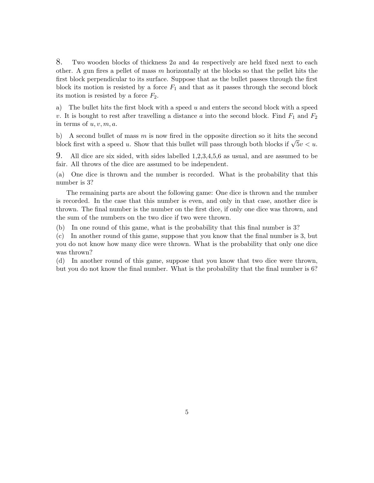8. Two wooden blocks of thickness 2a and 4a respectively are held fixed next to each other. A gun fires a pellet of mass  $m$  horizontally at the blocks so that the pellet hits the first block perpendicular to its surface. Suppose that as the bullet passes through the first block its motion is resisted by a force  $F_1$  and that as it passes through the second block its motion is resisted by a force  $F_2$ .

a) The bullet hits the first block with a speed  $u$  and enters the second block with a speed v. It is bought to rest after travelling a distance a into the second block. Find  $F_1$  and  $F_2$ in terms of  $u, v, m, a$ .

b) A second bullet of mass  $m$  is now fired in the opposite direction so it hits the second b) A second builet of mass m is now fired in the opposite direction so it fits the second block first with a speed u. Show that this bullet will pass through both blocks if  $\sqrt{5}v < u$ .

9. All dice are six sided, with sides labelled 1,2,3,4,5,6 as usual, and are assumed to be fair. All throws of the dice are assumed to be independent.

(a) One dice is thrown and the number is recorded. What is the probability that this number is 3?

The remaining parts are about the following game: One dice is thrown and the number is recorded. In the case that this number is even, and only in that case, another dice is thrown. The final number is the number on the first dice, if only one dice was thrown, and the sum of the numbers on the two dice if two were thrown.

(b) In one round of this game, what is the probability that this final number is 3?

(c) In another round of this game, suppose that you know that the final number is 3, but you do not know how many dice were thrown. What is the probability that only one dice was thrown?

(d) In another round of this game, suppose that you know that two dice were thrown, but you do not know the final number. What is the probability that the final number is 6?